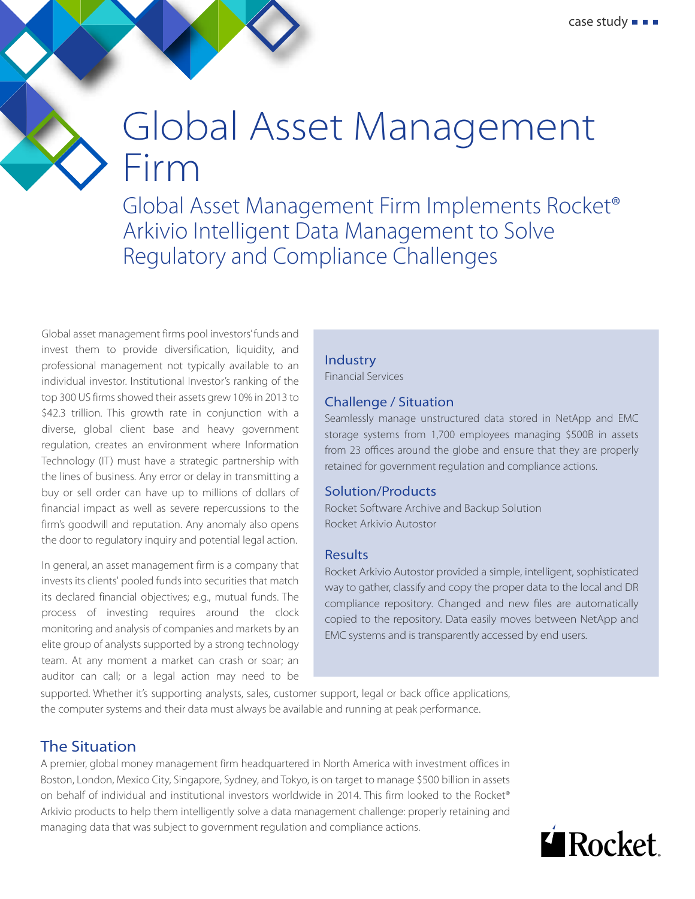# Global Asset Management Firm

Global Asset Management Firm Implements Rocket® Arkivio Intelligent Data Management to Solve Regulatory and Compliance Challenges

Global asset management firms pool investors' funds and invest them to provide diversification, liquidity, and professional management not typically available to an individual investor. Institutional Investor's ranking of the top 300 US firms showed their assets grew 10% in 2013 to \$42.3 trillion. This growth rate in conjunction with a diverse, global client base and heavy government regulation, creates an environment where Information Technology (IT) must have a strategic partnership with the lines of business. Any error or delay in transmitting a buy or sell order can have up to millions of dollars of financial impact as well as severe repercussions to the firm's goodwill and reputation. Any anomaly also opens the door to regulatory inquiry and potential legal action.

In general, an asset management firm is a company that invests its clients' pooled funds into securities that match its declared financial objectives; e.g., mutual funds. The process of investing requires around the clock monitoring and analysis of companies and markets by an elite group of analysts supported by a strong technology team. At any moment a market can crash or soar; an auditor can call; or a legal action may need to be

#### **Industry**

Financial Services

#### Challenge / Situation

Seamlessly manage unstructured data stored in NetApp and EMC storage systems from 1,700 employees managing \$500B in assets from 23 offices around the globe and ensure that they are properly retained for government regulation and compliance actions.

#### Solution/Products

Rocket Software Archive and Backup Solution Rocket Arkivio Autostor

#### Results

Rocket Arkivio Autostor provided a simple, intelligent, sophisticated way to gather, classify and copy the proper data to the local and DR compliance repository. Changed and new files are automatically copied to the repository. Data easily moves between NetApp and EMC systems and is transparently accessed by end users.

supported. Whether it's supporting analysts, sales, customer support, legal or back office applications, the computer systems and their data must always be available and running at peak performance.

### The Situation

A premier, global money management firm headquartered in North America with investment offices in Boston, London, Mexico City, Singapore, Sydney, and Tokyo, is on target to manage \$500 billion in assets on behalf of individual and institutional investors worldwide in 2014. This firm looked to the Rocket® Arkivio products to help them intelligently solve a data management challenge: properly retaining and managing data that was subject to government regulation and compliance actions.

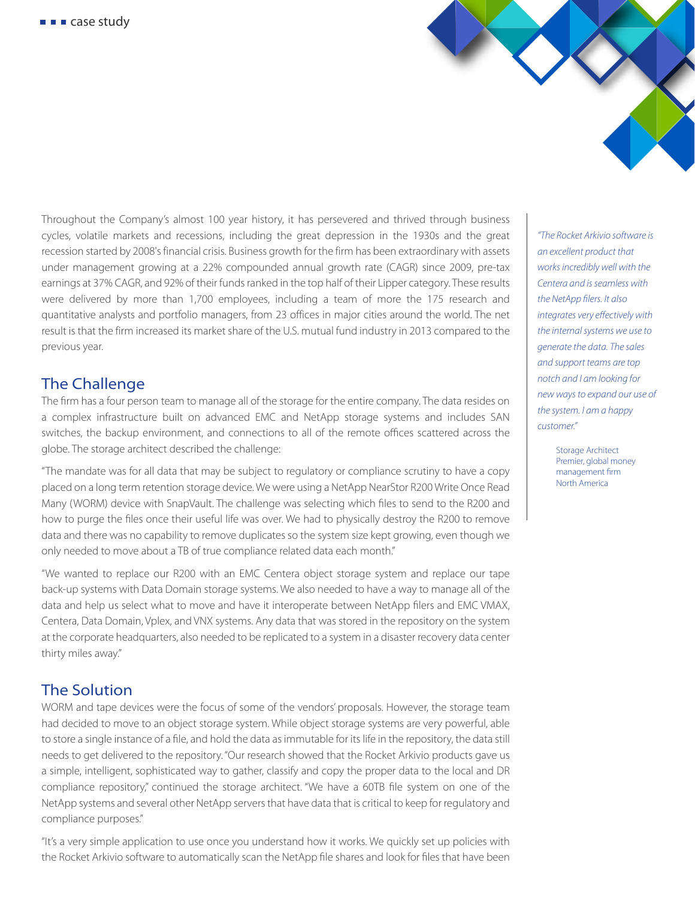

Throughout the Company's almost 100 year history, it has persevered and thrived through business cycles, volatile markets and recessions, including the great depression in the 1930s and the great recession started by 2008's financial crisis. Business growth for the firm has been extraordinary with assets under management growing at a 22% compounded annual growth rate (CAGR) since 2009, pre-tax earnings at 37% CAGR, and 92% of their funds ranked in the top half of their Lipper category. These results were delivered by more than 1,700 employees, including a team of more the 175 research and quantitative analysts and portfolio managers, from 23 offices in major cities around the world. The net result is that the firm increased its market share of the U.S. mutual fund industry in 2013 compared to the previous year.

## The Challenge

The firm has a four person team to manage all of the storage for the entire company. The data resides on a complex infrastructure built on advanced EMC and NetApp storage systems and includes SAN switches, the backup environment, and connections to all of the remote offices scattered across the globe. The storage architect described the challenge:

"The mandate was for all data that may be subject to regulatory or compliance scrutiny to have a copy placed on a long term retention storage device. We were using a NetApp NearStor R200 Write Once Read Many (WORM) device with SnapVault. The challenge was selecting which files to send to the R200 and how to purge the files once their useful life was over. We had to physically destroy the R200 to remove data and there was no capability to remove duplicates so the system size kept growing, even though we only needed to move about a TB of true compliance related data each month."

"We wanted to replace our R200 with an EMC Centera object storage system and replace our tape back-up systems with Data Domain storage systems. We also needed to have a way to manage all of the data and help us select what to move and have it interoperate between NetApp filers and EMC VMAX, Centera, Data Domain, Vplex, and VNX systems. Any data that was stored in the repository on the system at the corporate headquarters, also needed to be replicated to a system in a disaster recovery data center thirty miles away."

## The Solution

WORM and tape devices were the focus of some of the vendors' proposals. However, the storage team had decided to move to an object storage system. While object storage systems are very powerful, able to store a single instance of a file, and hold the data as immutable for its life in the repository, the data still needs to get delivered to the repository. "Our research showed that the Rocket Arkivio products gave us a simple, intelligent, sophisticated way to gather, classify and copy the proper data to the local and DR compliance repository," continued the storage architect. "We have a 60TB file system on one of the NetApp systems and several other NetApp servers that have data that is critical to keep for regulatory and compliance purposes."

"It's a very simple application to use once you understand how it works. We quickly set up policies with the Rocket Arkivio software to automatically scan the NetApp file shares and look for files that have been

*"The Rocket Arkivio software is an excellent product that works incredibly well with the Centera and is seamless with*  the NetApp filers. It also *integrates very effectively with the internal systems we use to generate the data. The sales and support teams are top notch and I am looking for new ways to expand our use of the system. I am a happy customer."* 

> Storage Architect Premier, global money management firm North America